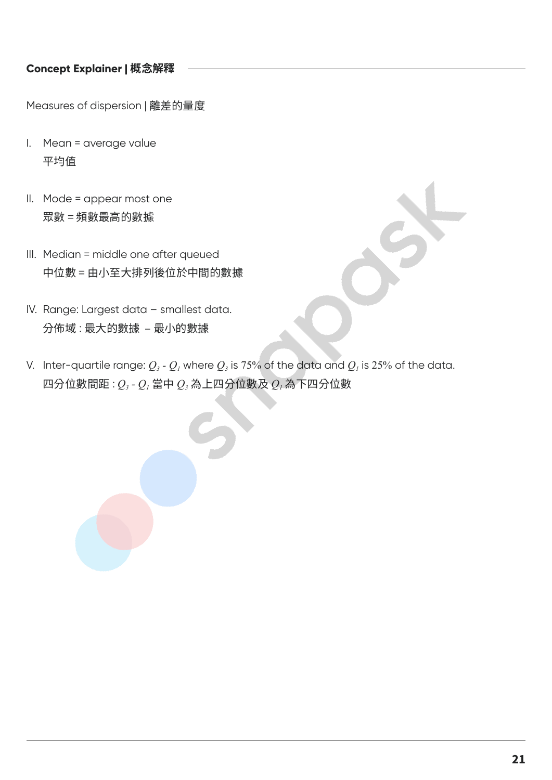## **Concept Explainer | 概念解釋**

Measures of dispersion | 離差的量度

- I. Mean = average value 平均值
- II. Mode = appear most one 眾數 = 頻數最高的數據
- III. Median = middle one after queued 中位數 = 由小至大排列後位於中間的數據
- IV. Range: Largest data smallest data. 分佈域 : 最大的數據 – 最小的數據
- V. Inter-quartile range:  $Q_3$   $Q_1$  where  $Q_3$  is 75% of the data and  $Q_1$  is 25% of the data.  $\Box$ 分位數間距 :  $Q_3$  -  $Q_1$ 當中  $Q_3$  為上四分位數及  $Q_1$ 為下四分位數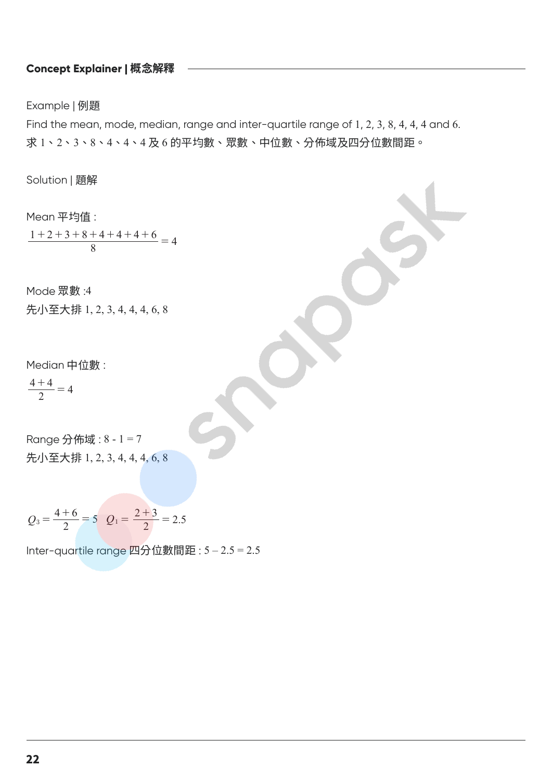## **Concept Explainer | 概念解釋**

Example | 例題

Find the mean, mode, median, range and inter-quartile range of 1, 2, 3, 8, 4, 4, 4 and 6. 求 1、2、3、8、4、4、4 及 6 的平均數、眾數、中位數、分佈域及四分位數間距。

Solution | 題解

Mean 平均值 :  $\frac{1+2+3+8+4+4+4+6}{8} = 4$ 

Mode 眾數 :4

先小至大排 1, 2, 3, 4, 4, 4, 6, 8

Median 中位數 :

 $\frac{4+4}{2} = 4$ 

Range 分佈域 : 8 - 1 = 7 先小至大排 1, 2, 3, 4, 4, 4, 6, 8

$$
Q_3 = \frac{4+6}{2} = 5
$$
  $Q_1 = \frac{2+3}{2} = 2.5$ 

Inter-quartile range 四分位數間距 : 5 – 2.5 = 2.5